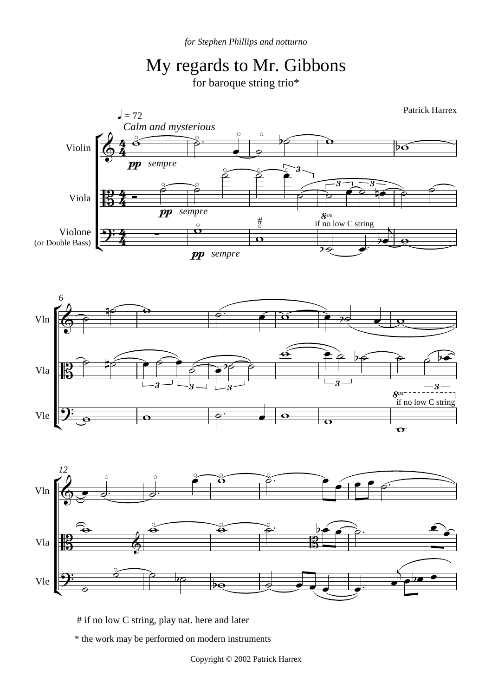



# if no low C string, play nat. here and later

\* the work may be performed on modern instruments

Copyright © 2002 Patrick Harrex